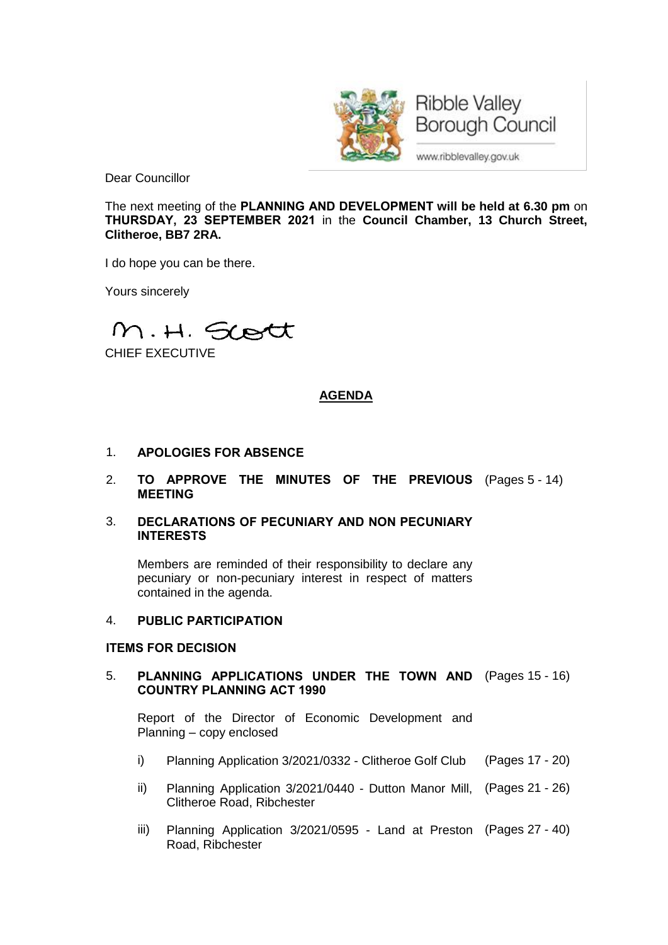

**Borough Council** 

www.ribblevalley.gov.uk

Dear Councillor

The next meeting of the **PLANNING AND DEVELOPMENT will be held at 6.30 pm** on **THURSDAY, 23 SEPTEMBER 2021** in the **Council Chamber, 13 Church Street, Clitheroe, BB7 2RA.**

I do hope you can be there.

Yours sincerely

M.H. Scott

CHIEF EXECUTIVE

# **AGENDA**

- 1. **APOLOGIES FOR ABSENCE**
- 2. **TO APPROVE THE MINUTES OF THE PREVIOUS** (Pages 5 14) **MEETING**
- 3. **DECLARATIONS OF PECUNIARY AND NON PECUNIARY INTERESTS**

Members are reminded of their responsibility to declare any pecuniary or non-pecuniary interest in respect of matters contained in the agenda.

### 4. **PUBLIC PARTICIPATION**

#### **ITEMS FOR DECISION**

5. **PLANNING APPLICATIONS UNDER THE TOWN AND** (Pages 15 - 16) **COUNTRY PLANNING ACT 1990**

Report of the Director of Economic Development and Planning – copy enclosed

- i) Planning Application 3/2021/0332 Clitheroe Golf Club (Pages 17 20)
- ii) Planning Application 3/2021/0440 Dutton Manor Mill, (Pages 21 26) Clitheroe Road, Ribchester
- iii) Planning Application 3/2021/0595 Land at Preston (Pages 27 40)Road, Ribchester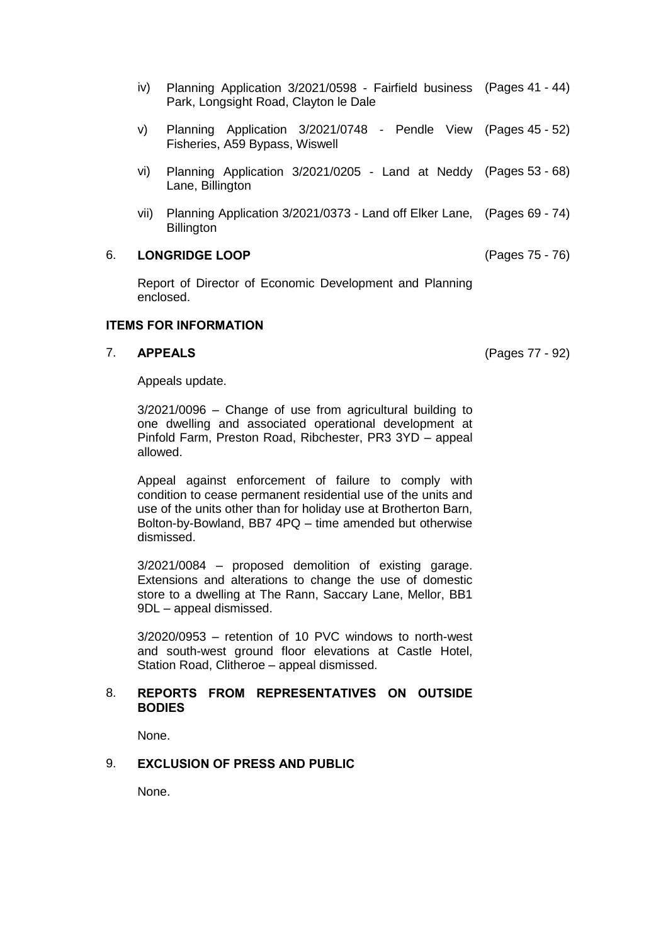- iv) Planning Application 3/2021/0598 Fairfield business (Pages 41 44) Park, Longsight Road, Clayton le Dale
- v) Planning Application 3/2021/0748 Pendle View (Pages 45 52) Fisheries, A59 Bypass, Wiswell
- vi) Planning Application 3/2021/0205 Land at Neddy (Pages 53 68) Lane, Billington
- vii) Planning Application 3/2021/0373 Land off Elker Lane, (Pages 69 74) **Billington**

#### 6. **LONGRIDGE LOOP** (Pages 75 - 76)

Report of Director of Economic Development and Planning enclosed.

#### **ITEMS FOR INFORMATION**

# 7. **APPEALS** (Pages 77 - 92)

Appeals update.

3/2021/0096 – Change of use from agricultural building to one dwelling and associated operational development at Pinfold Farm, Preston Road, Ribchester, PR3 3YD – appeal allowed.

Appeal against enforcement of failure to comply with condition to cease permanent residential use of the units and use of the units other than for holiday use at Brotherton Barn, Bolton-by-Bowland, BB7 4PQ – time amended but otherwise dismissed.

3/2021/0084 – proposed demolition of existing garage. Extensions and alterations to change the use of domestic store to a dwelling at The Rann, Saccary Lane, Mellor, BB1 9DL – appeal dismissed.

3/2020/0953 – retention of 10 PVC windows to north-west and south-west ground floor elevations at Castle Hotel, Station Road, Clitheroe – appeal dismissed.

#### 8. **REPORTS FROM REPRESENTATIVES ON OUTSIDE BODIES**

None.

# 9. **EXCLUSION OF PRESS AND PUBLIC**

None.